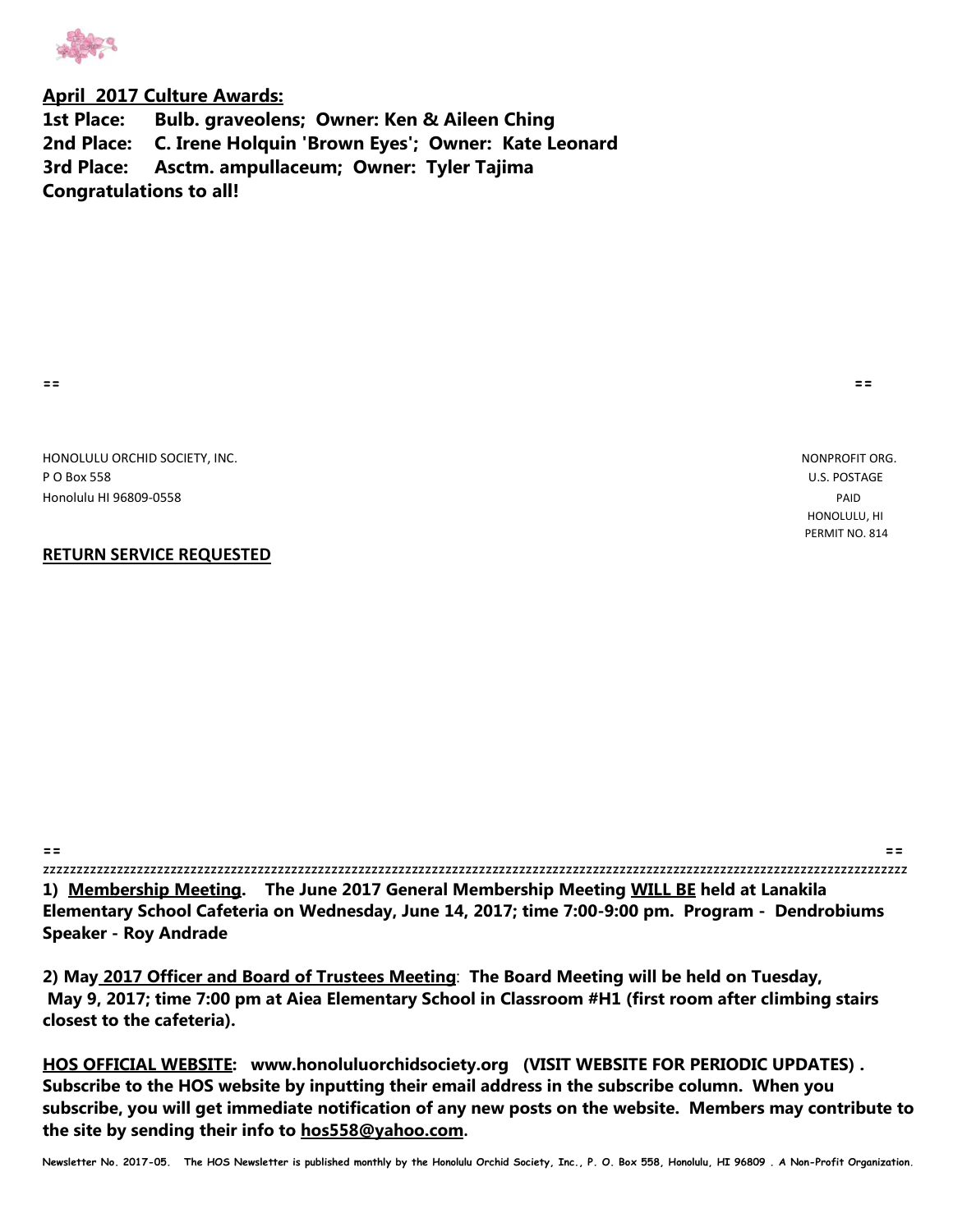

## **April 2017 Culture Awards:**

**1st Place: Bulb. graveolens; Owner: Ken & Aileen Ching 2nd Place: C. Irene Holquin 'Brown Eyes'; Owner: Kate Leonard 3rd Place: Asctm. ampullaceum; Owner: Tyler Tajima Congratulations to all!** 

**== ==**

HONOLULU ORCHID SOCIETY, INC. NONPROFIT ORG. P O Box 558 U.S. POSTAGE Honolulu HI 96809-0558 PAID

## **RETURN SERVICE REQUESTED**

 HONOLULU, HI PERMIT NO. 814

| $=$ $=$ | $- -$<br>--                                                                              |
|---------|------------------------------------------------------------------------------------------|
|         |                                                                                          |
|         | 1) Membership Meeting. The June 2017 General Membership Meeting WILL BE held at Lanakila |

**Elementary School Cafeteria on Wednesday, June 14, 2017; time 7:00-9:00 pm. Program - Dendrobiums Speaker - Roy Andrade**

**2) May 2017 Officer and Board of Trustees Meeting**: **The Board Meeting will be held on Tuesday, May 9, 2017; time 7:00 pm at Aiea Elementary School in Classroom #H1 (first room after climbing stairs closest to the cafeteria).** 

**HOS OFFICIAL WEBSITE: www.honoluluorchidsociety.org (VISIT WEBSITE FOR PERIODIC UPDATES) . Subscribe to the HOS website by inputting their email address in the subscribe column. When you subscribe, you will get immediate notification of any new posts on the website. Members may contribute to the site by sending their info to hos558@yahoo.com.**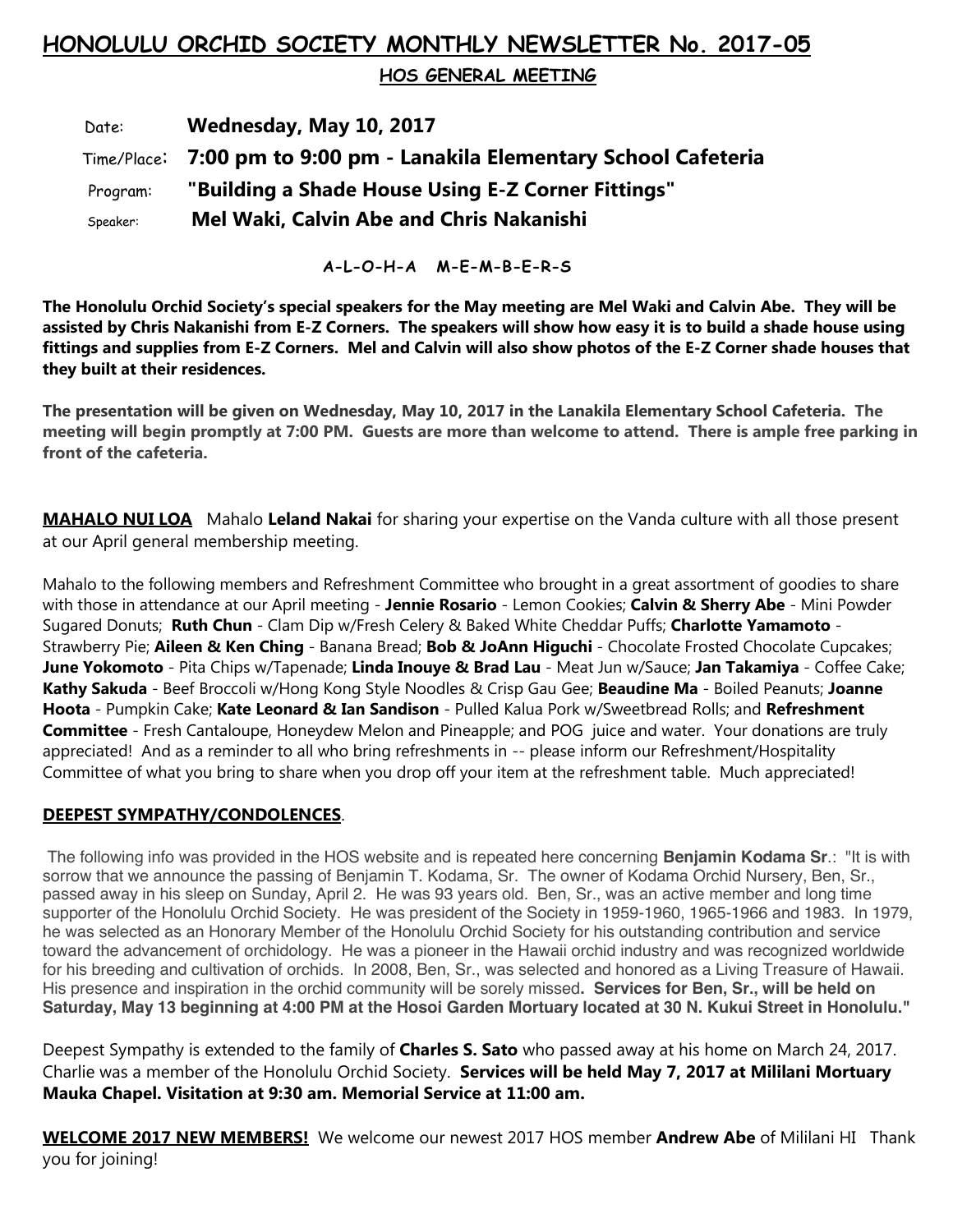## **HONOLULU ORCHID SOCIETY MONTHLY NEWSLETTER No. 2017-05**

 **HOS GENERAL MEETING** 

 Date: **Wednesday, May 10, 2017** Time/Place: **7:00 pm to 9:00 pm - Lanakila Elementary School Cafeteria** Program: **"Building a Shade House Using E-Z Corner Fittings"** Speaker: **Mel Waki, Calvin Abe and Chris Nakanishi**

**A-L-O-H-A M-E-M-B-E-R-S**

**The Honolulu Orchid Society's special speakers for the May meeting are Mel Waki and Calvin Abe. They will be assisted by Chris Nakanishi from E-Z Corners. The speakers will show how easy it is to build a shade house using fittings and supplies from E-Z Corners. Mel and Calvin will also show photos of the E-Z Corner shade houses that they built at their residences.**

**The presentation will be given on Wednesday, May 10, 2017 in the Lanakila Elementary School Cafeteria. The meeting will begin promptly at 7:00 PM. Guests are more than welcome to attend. There is ample free parking in front of the cafeteria.**

**MAHALO NUI LOA** Mahalo **Leland Nakai** for sharing your expertise on the Vanda culture with all those present at our April general membership meeting.

Mahalo to the following members and Refreshment Committee who brought in a great assortment of goodies to share with those in attendance at our April meeting - **Jennie Rosario** - Lemon Cookies; **Calvin & Sherry Abe** - Mini Powder Sugared Donuts; **Ruth Chun** - Clam Dip w/Fresh Celery & Baked White Cheddar Puffs; **Charlotte Yamamoto** - Strawberry Pie; **Aileen & Ken Ching** - Banana Bread; **Bob & JoAnn Higuchi** - Chocolate Frosted Chocolate Cupcakes; **June Yokomoto** - Pita Chips w/Tapenade; **Linda Inouye & Brad Lau** - Meat Jun w/Sauce; **Jan Takamiya** - Coffee Cake; **Kathy Sakuda** - Beef Broccoli w/Hong Kong Style Noodles & Crisp Gau Gee; **Beaudine Ma** - Boiled Peanuts; **Joanne Hoota** - Pumpkin Cake; **Kate Leonard & Ian Sandison** - Pulled Kalua Pork w/Sweetbread Rolls; and **Refreshment Committee** - Fresh Cantaloupe, Honeydew Melon and Pineapple; and POG juice and water. Your donations are truly appreciated! And as a reminder to all who bring refreshments in -- please inform our Refreshment/Hospitality Committee of what you bring to share when you drop off your item at the refreshment table. Much appreciated!

## **DEEPEST SYMPATHY/CONDOLENCES**.

The following info was provided in the HOS website and is repeated here concerning **Benjamin Kodama Sr**.: "It is with sorrow that we announce the passing of Benjamin T. Kodama, Sr. The owner of Kodama Orchid Nursery, Ben, Sr., passed away in his sleep on Sunday, April 2. He was 93 years old. Ben, Sr., was an active member and long time supporter of the Honolulu Orchid Society. He was president of the Society in 1959-1960, 1965-1966 and 1983. In 1979, he was selected as an Honorary Member of the Honolulu Orchid Society for his outstanding contribution and service toward the advancement of orchidology. He was a pioneer in the Hawaii orchid industry and was recognized worldwide for his breeding and cultivation of orchids. In 2008, Ben, Sr., was selected and honored as a Living Treasure of Hawaii. His presence and inspiration in the orchid community will be sorely missed**. Services for Ben, Sr., will be held on Saturday, May 13 beginning at 4:00 PM at the Hosoi Garden Mortuary located at 30 N. Kukui Street in Honolulu."**

Deepest Sympathy is extended to the family of **Charles S. Sato** who passed away at his home on March 24, 2017. Charlie was a member of the Honolulu Orchid Society. **Services will be held May 7, 2017 at Mililani Mortuary Mauka Chapel. Visitation at 9:30 am. Memorial Service at 11:00 am.**

**WELCOME 2017 NEW MEMBERS!** We welcome our newest 2017 HOS member **Andrew Abe** of Mililani HI Thank you for joining!